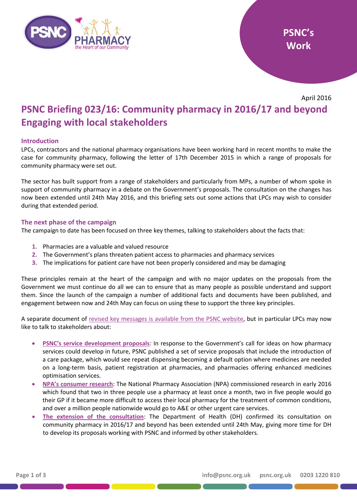

April 2016

# **PSNC Briefing 023/16: Community pharmacy in 2016/17 and beyond Engaging with local stakeholders**

# **Introduction**

LPCs, contractors and the national pharmacy organisations have been working hard in recent months to make the case for community pharmacy, following the letter of 17th December 2015 in which a range of proposals for community pharmacy were set out.

The sector has built support from a range of stakeholders and particularly from MPs, a number of whom spoke in support of community pharmacy in a debate on the Government's proposals. The consultation on the changes has now been extended until 24th May 2016, and this briefing sets out some actions that LPCs may wish to consider during that extended period.

#### **The next phase of the campaign**

The campaign to date has been focused on three key themes, talking to stakeholders about the facts that:

- **1.** Pharmacies are a valuable and valued resource
- **2.** The Government's plans threaten patient access to pharmacies and pharmacy services
- **3.** The implications for patient care have not been properly considered and may be damaging

These principles remain at the heart of the campaign and with no major updates on the proposals from the Government we must continue do all we can to ensure that as many people as possible understand and support them. Since the launch of the campaign a number of additional facts and documents have been published, and engagement between now and 24th May can focus on using these to support the three key principles.

A separate document of [revised key messages is available from the PSNC website,](http://psnc.org.uk/wp-content/uploads/2016/04/Key-campaign-messages-update.pdf) but in particular LPCs may now like to talk to stakeholders about:

- **[PSNC's service development proposals](http://psnc.org.uk/our-news/psnc-update-service-development-proposals-published/)**: In response to the Government's call for ideas on how pharmacy services could develop in future, PSNC published a set of service proposals that include the introduction of a care package, which would see repeat dispensing becoming a default option where medicines are needed on a long-term basis, patient registration at pharmacies, and pharmacies offering enhanced medicines optimisation services.
- **NPA's [consumer research](https://www.npa.co.uk/news-and-events/news-item/government-cuts-local-pharmacies-put-pressure-gps-hospitals/)**: The National Pharmacy Association (NPA) commissioned research in early 2016 which found that two in three people use a pharmacy at least once a month, two in five people would go their GP if it became more difficult to access their local pharmacy for the treatment of common conditions, and over a million people nationwide would go to A&E or other urgent care services.
- **The [extension of the consultation](http://psnc.org.uk/our-news/psnc-update-department-of-health-extends-community-pharmacy-consultation-period/)**: The Department of Health (DH) confirmed its consultation on community pharmacy in 2016/17 and beyond has been extended until 24th May, giving more time for DH to develop its proposals working with PSNC and informed by other stakeholders.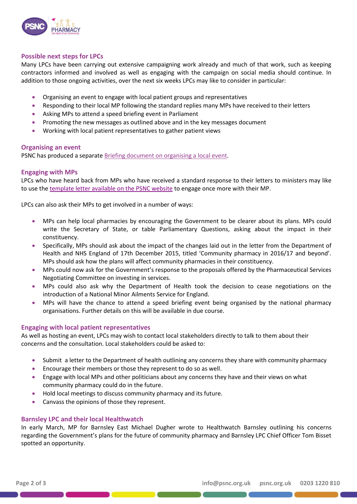

## **Possible next steps for LPCs**

Many LPCs have been carrying out extensive campaigning work already and much of that work, such as keeping contractors informed and involved as well as engaging with the campaign on social media should continue. In addition to those ongoing activities, over the next six weeks LPCs may like to consider in particular:

- Organising an event to engage with local patient groups and representatives
- Responding to their local MP following the standard replies many MPs have received to their letters
- Asking MPs to attend a speed briefing event in Parliament
- Promoting the new messages as outlined above and in the key messages document
- Working with local patient representatives to gather patient views

#### **Organising an event**

PSNC has produced a separate [Briefing document on organising a local event.](http://psnc.org.uk/wp-content/uploads/2016/04/Organising-a-local-event.pdf)

### **Engaging with MPs**

LPCs who have heard back from MPs who have received a standard response to their letters to ministers may like to use the [template letter available on the PSNC website](http://psnc.org.uk/wp-content/uploads/2016/04/MP-follow-up-letter-template.docx) to engage once more with their MP.

LPCs can also ask their MPs to get involved in a number of ways:

- MPs can help local pharmacies by encouraging the Government to be clearer about its plans. MPs could write the Secretary of State, or table Parliamentary Questions, asking about the impact in their constituency.
- Specifically, MPs should ask about the impact of the changes laid out in the letter from the Department of Health and NHS England of 17th December 2015, titled 'Community pharmacy in 2016/17 and beyond'. MPs should ask how the plans will affect community pharmacies in their constituency.
- MPs could now ask for the Government's response to the proposals offered by the Pharmaceutical Services Negotiating Committee on investing in services.
- MPs could also ask why the Department of Health took the decision to cease negotiations on the introduction of a National Minor Ailments Service for England.
- MPs will have the chance to attend a speed briefing event being organised by the national pharmacy organisations. Further details on this will be available in due course.

# **Engaging with local patient representatives**

As well as hosting an event, LPCs may wish to contact local stakeholders directly to talk to them about their concerns and the consultation. Local stakeholders could be asked to:

- Submit a letter to the Department of health outlining any concerns they share with community pharmacy
- Encourage their members or those they represent to do so as well.
- Engage with local MPs and other politicians about any concerns they have and their views on what community pharmacy could do in the future.
- Hold local meetings to discuss community pharmacy and its future.
- Canvass the opinions of those they represent.

#### **Barnsley LPC and their local Healthwatch**

In early March, MP for Barnsley East Michael Dugher wrote to Healthwatch Barnsley outlining his concerns regarding the Government's plans for the future of community pharmacy and Barnsley LPC Chief Officer Tom Bisset spotted an opportunity.